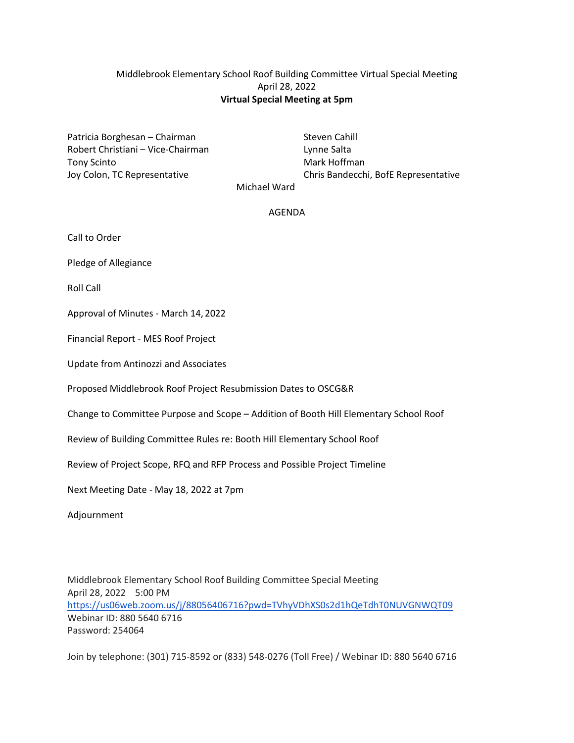# Middlebrook Elementary School Roof Building Committee Virtual Special Meeting April 28, 2022 **Virtual Special Meeting at 5pm**

Patricia Borghesan – Chairman Steven Cahill Robert Christiani – Vice-Chairman Lynne Salta Tony Scinto **Mark Hoffman** 

Joy Colon, TC Representative Chris Bandecchi, BofE Representative Michael Ward

### AGENDA

Call to Order

Pledge of Allegiance

Roll Call

Approval of Minutes - March 14, 2022

Financial Report - MES Roof Project

Update from Antinozzi and Associates

Proposed Middlebrook Roof Project Resubmission Dates to OSCG&R

Change to Committee Purpose and Scope – Addition of Booth Hill Elementary School Roof

Review of Building Committee Rules re: Booth Hill Elementary School Roof

Review of Project Scope, RFQ and RFP Process and Possible Project Timeline

Next Meeting Date - May 18, 2022 at 7pm

Adjournment

Middlebrook Elementary School Roof Building Committee Special Meeting April 28, 2022 5:00 PM <https://us06web.zoom.us/j/88056406716?pwd=TVhyVDhXS0s2d1hQeTdhT0NUVGNWQT09> Webinar ID: 880 5640 6716 Password: 254064

Join by telephone: (301) 715-8592 or (833) 548-0276 (Toll Free) / Webinar ID: 880 5640 6716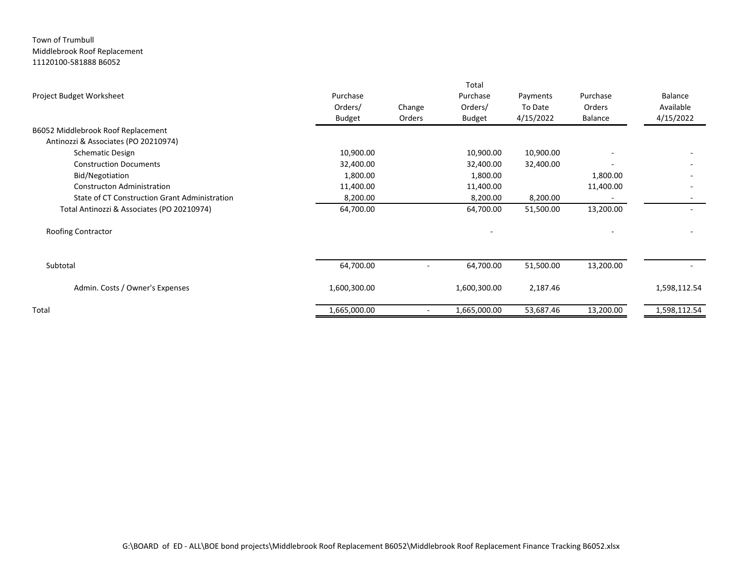#### Town of Trumbull Middlebrook Roof Replacement 11120100-581888 B6052

|                                               |               |        | Total        |           |           |              |
|-----------------------------------------------|---------------|--------|--------------|-----------|-----------|--------------|
| Project Budget Worksheet                      | Purchase      |        | Purchase     | Payments  | Purchase  | Balance      |
|                                               | Orders/       | Change | Orders/      | To Date   | Orders    | Available    |
|                                               | <b>Budget</b> | Orders | Budget       | 4/15/2022 | Balance   | 4/15/2022    |
| B6052 Middlebrook Roof Replacement            |               |        |              |           |           |              |
| Antinozzi & Associates (PO 20210974)          |               |        |              |           |           |              |
| <b>Schematic Design</b>                       | 10,900.00     |        | 10,900.00    | 10,900.00 |           |              |
| <b>Construction Documents</b>                 | 32,400.00     |        | 32,400.00    | 32,400.00 |           |              |
| Bid/Negotiation                               | 1,800.00      |        | 1,800.00     |           | 1,800.00  |              |
| Constructon Administration                    | 11,400.00     |        | 11,400.00    |           | 11,400.00 |              |
| State of CT Construction Grant Administration | 8,200.00      |        | 8,200.00     | 8,200.00  |           |              |
| Total Antinozzi & Associates (PO 20210974)    | 64,700.00     |        | 64,700.00    | 51,500.00 | 13,200.00 |              |
| Roofing Contractor                            |               |        |              |           |           |              |
| Subtotal                                      | 64,700.00     |        | 64,700.00    | 51,500.00 | 13,200.00 |              |
| Admin. Costs / Owner's Expenses               | 1,600,300.00  |        | 1,600,300.00 | 2,187.46  |           | 1,598,112.54 |
| Total                                         | 1,665,000.00  | $\sim$ | 1,665,000.00 | 53,687.46 | 13,200.00 | 1,598,112.54 |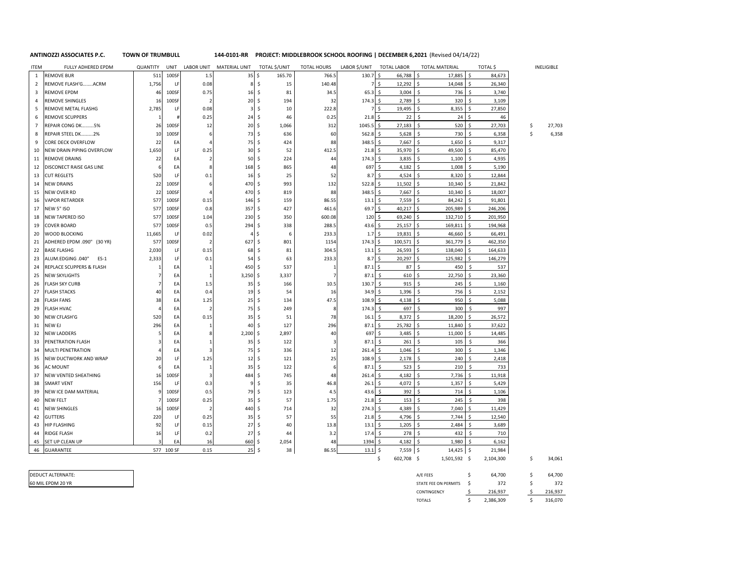**144-0101-RR ANTINOZZI ASSOCIATES P.C. TOWN OF TRUMBULL PROJECT: MIDDLEBROOK SCHOOL ROOFING | DECEMBER 6,2021** (Revised 04/14/22)

| <b>ITEM</b>    | FULLY ADHERED EPDM          | QUANTITY | UNIT       |                          | LABOR UNIT MATERIAL UNIT | TOTAL \$/UNIT                | <b>TOTAL HOURS</b> | LABOR \$/UNIT  | <b>TOTAL LABOR</b>            | <b>TOTAL MATERIAL</b>      | TOTAL \$       | <b>INELIGIBLE</b> |
|----------------|-----------------------------|----------|------------|--------------------------|--------------------------|------------------------------|--------------------|----------------|-------------------------------|----------------------------|----------------|-------------------|
| $\mathbf{1}$   | <b>REMOVE BUR</b>           | 511      | 100SF      | 1.5                      | $35\frac{1}{2}$          | 165.70                       | 766.5              | 130.7          | \$<br>66,788                  | \$<br>17,885               | 84,673<br>.S   |                   |
| 2              | REMOVE FLASH'GACRM          | 1,756    | LF         | 0.08                     | ε                        | $\mathsf{S}$<br>15           | 140.48             | 7              | $\ddot{\mathsf{s}}$<br>12,292 | 14,048<br>\$               | 26,340<br>\$   |                   |
| 3              | REMOVE EPDM                 | 46       | 100SF      | 0.75                     | 16                       | - \$<br>81                   | 34.5               | 65.3           | $3,004$ \$<br>-Ś              | 736                        | 3,740<br>Ŝ.    |                   |
| 4              | <b>REMOVE SHINGLES</b>      | 16       | 100SF      | $\overline{2}$           | 20                       | $\ddot{\mathsf{S}}$<br>194   | 32                 | 174.3          | 2,789<br>\$                   | <sub>S</sub><br>320        | 3,109          |                   |
| 5              | REMOVE METAL FLASHG         | 2,785    | LF         | 0.08                     | $\overline{3}$           | \$<br>10                     | 222.8              | $\overline{7}$ | \$<br>19,495                  | 8,355<br>Ś                 | 27,850         |                   |
| 6              | REMOVE SCUPPERS             |          |            | 0.25                     | 24                       | 46<br>-\$                    | 0.25               | 21.8           | Ś<br>22                       | \$<br>24                   | 46             |                   |
| $\overline{7}$ | REPAIR CONG DK 5%           | 26       | 100SF      | 12                       | 20                       | $\ddot{\mathsf{S}}$<br>1,066 | 312                | 1045.5         | 27,183<br>\$                  | 520<br>Ŝ                   | 27,703         | \$<br>27,703      |
| 8              | REPAIR STEEL DK 2%          | 10       | 100SF      | 6                        | 73                       | -\$<br>636                   | 60                 | 562.8          | 5,628<br>-\$                  | 730<br>\$                  | 6,358          | \$<br>6,358       |
| 9              | CORE DECK OVERFLOW          | 22       | EA         | 4                        | 75                       | \$<br>424                    | 88                 | 348.5          | -\$<br>7,667                  | 1,650<br>\$                | 9,317          |                   |
| 10             | NEW DRAIN PIPING OVERFLOW   | 1,650    | LF         | 0.25                     | 30                       | 52<br>-\$                    | 412.5              | 21.8           | \$<br>35,970                  | l \$<br>49,500             | 85,470<br>Ŝ.   |                   |
| 11             | <b>REMOVE DRAINS</b>        | 22       | EA         | $\overline{2}$           | 50                       | -Ś<br>224                    | 44                 | 174.3          | <sub>S</sub><br>3,835         | Ŝ.<br>1,100                | 4,935<br>¢,    |                   |
| 12             | DISCONECT RAISE GAS LINE    |          | EA         | 8                        | 168                      | 865<br>-\$                   | 48                 | 697            | \$<br>4,182                   | 1,008<br>\$                | 5,190          |                   |
| 13             | <b>CUT REGLETS</b>          | 520      | LF         | 0.1                      | 16                       | 25<br>- \$                   | 52                 | 8.7            | <sub>S</sub><br>4,524         | 8,320                      | 12.844         |                   |
| 14             | <b>NEW DRAINS</b>           | 22       | 100SF      | 6                        | 470                      | 993<br>-\$                   | 132                | 522.8          | \$<br>11,502                  | Ŝ.<br>10,340               | 21,842         |                   |
| 15             | NEW OVER RD                 | 22       | 100SF      | Δ                        | 470 \$                   | 819                          | 88                 | 348.5          | 7,667<br>-\$                  | 10,340<br>Ŝ.               | 18,007         |                   |
| 16             | <b>VAPOR RETARDER</b>       | 577      | 100SF      | 0.15                     | 146                      | -\$<br>159                   | 86.55              | 13.1           | -\$<br>7,559                  | 84,242<br>\$               | 91,801<br>.S   |                   |
| 17             | NEW 5" ISO                  | 577      | 100SF      | 0.8                      | 357                      | - Ś<br>427                   | 461.6              | 69.7           | 40,217<br>Ŝ.                  | -Ś<br>205,989              | 246,206<br>ς   |                   |
| 18             | <b>NEW TAPERED ISO</b>      | 577      | 100SF      | 1.04                     | 230                      | 350<br>-\$                   | 600.08             | 120            | \$<br>69,240                  | 132,710<br>Ŝ.              | 201,950        |                   |
| 19             | COVER BOARD                 | 57       | 100SF      | 0.5                      | 294                      | 338<br>-\$                   | 288.5              | 43.6           | 25,157<br>Ŝ.                  | 169,811<br>Š.              | 194,968        |                   |
| 20             | WOOD BLOCKING               | 11,665   | LF         | 0.02                     |                          | <sup>\$</sup><br>6           | 233.3              | 1.7            | \$<br>19,831                  | \$<br>46,660               | 66,491         |                   |
| 21             | ADHERED EPDM .090" (30 YR)  | 577      | 100SF      | $\overline{\phantom{a}}$ | 627                      | 801<br>-\$                   | 1154               | 174.3          | Ś<br>100,571                  | 361,779<br>Ś               | 462,350        |                   |
| 22             | <b>BASE FLASHG</b>          | 2,030    | LF         | 0.15                     | 68                       | - \$<br>81                   | 304.5              | 13.1           | 26,593<br>.\$                 | 138,040                    | 164,633        |                   |
| 23             | ALUM.EDGING .040"<br>$ES-1$ | 2,333    | LF         | 0.1                      | 54                       | -S<br>63                     | 233.3              | 8.7            | \$<br>20,297                  | 125,982<br>Ŝ.              | 146,279<br>\$. |                   |
| 24             | REPLACE SCUPPERS & FLASH    |          | EA         | 1                        | 450                      | 537<br>- Ś                   |                    | 87.1           | 87<br>Ŝ.                      | -\$<br>450                 | Ŝ.<br>537      |                   |
| 25             | <b>NEW SKYLIGHTS</b>        |          | EA         | $\mathbf{1}$             | 3,250                    | 3,337<br>-\$                 |                    | 87.1           | S.<br>610                     | 22,750<br>Ś                | 23,360         |                   |
| 26             | <b>FLASH SKY CURB</b>       |          | EA         | 1.5                      | 35                       | -\$<br>166                   | 10.5               | 130.7          | 915<br>-\$                    | 245<br>\$                  | 1,160          |                   |
| 27             | <b>FLASH STACKS</b>         | 40       | EA         | 0.4                      | 19                       | -\$<br>54                    | 16                 | 34.9           | <sub>S</sub><br>1,396         | Ś<br>756                   | 2,152          |                   |
| 28             | <b>FLASH FANS</b>           | 38       | EA         | 1.25                     | 25                       | -\$<br>134                   | 47.5               | 108.9          | 4,138<br>S.                   | 950<br>S.                  | 5,088          |                   |
| 29             | FLASH HVAC                  |          | EA         | $\overline{\phantom{a}}$ | 75                       | -\$<br>249                   | 8                  | 174.3          | 697<br>-Ś                     | 300<br>Ŝ.                  | 997<br>.\$     |                   |
| 30             | NEW CFLASH'G                | 520      | EA         | 0.15                     | 35                       | -\$<br>51                    | 78                 | 16.1           | -\$<br>8,372                  | Ŝ.<br>18,200               | 26,572<br>Ŝ.   |                   |
| 31             | NEW EJ                      | 296      | EA         | $\mathbf{1}$             | 40                       | 127<br>- Ś                   | 296                | 87.1           | <sub>S</sub><br>25,782        | $\mathsf{S}$<br>11,840     | 37,622<br>Ŝ.   |                   |
| 32             | NEW LADDERS                 |          | EA         | 8                        | 2,200                    | 2,897<br>-\$                 | 40                 | 697            | <sub>S</sub><br>3,485         | 11,000<br>¢,               | 14,485         |                   |
| 33             | PENETRATION FLASH           |          | EA         | $\mathbf{1}$             | 35                       | .\$<br>122                   |                    | 87.1           | \$<br>261                     | 105<br>\$                  | 366<br>\$.     |                   |
| -34            | MULTI PENETRATION           |          | EA         | 3                        | 75                       | -\$<br>336                   | 12                 | 261.4          | \$<br>1,046                   | <sub>S</sub><br>300        | 1,346          |                   |
| 35             | NEW DUCTWORK AND WRAP       | 2C       | LF         | 1.25                     | 12                       | 121<br>-\$                   | 25                 | 108.9          | <sub>S</sub><br>2,178         | \$<br>240                  | 2,418          |                   |
| 36             | AC MOUNT                    |          | EA         | 1                        | 35                       | 122<br>-\$                   | 6                  | 87.1           | 523<br>-\$                    | 210<br>\$                  | 733<br>.\$     |                   |
| 37             | NEW VENTED SHEATHING        | 16       | 100SF      | 3                        | 484                      | \$<br>745                    | 48                 | 261.4          | 4,182<br>-\$                  | \$<br>7,736                | 11,918<br>\$   |                   |
| 38             | <b>SMART VENT</b>           | 156      | <b>LF</b>  | 0.3                      | ç                        | 35<br>Ŝ.                     | 46.8               | 26.1           | 4,072<br>Ŝ.                   | Ŝ.<br>1,357                | Ŝ.<br>5,429    |                   |
| 39             | NEW ICE DAM MATERIAL        |          | 100SF      | 0.5                      | 79                       | 123<br>-\$                   | 4.5                | 43.6           | 392<br>\$                     | $\ddot{\mathsf{s}}$<br>714 | 1,106          |                   |
| 40             | NEW FELT                    |          | 100SF      | 0.25                     | 35                       | 57<br>-\$                    | 1.75               | 21.8           | -\$<br>153                    | \$<br>245                  | 398<br>\$.     |                   |
| 41             | <b>NEW SHINGLES</b>         | 16       | 100SF      | $\overline{2}$           | 440                      | l \$<br>714                  | 32                 | 274.3          | \$<br>4,389                   | 7,040                      | 11,429         |                   |
| 42             | <b>GUTTERS</b>              | 220      | LF         | 0.25                     | 35                       | -\$<br>57                    | 55                 | 21.8           | 4,796<br>-\$                  | 7,744<br>Ŝ.                | 12,540         |                   |
| 43             | HIP FLASHING                | 92       | LF         | 0.15                     | 27                       | - \$<br>40                   | 13.8               | 13.1           | 1,205<br>-\$                  | 2,484<br>Ŝ.                | 3,689          |                   |
| 44             | RIDGE FLASH                 | 16       | LF         | 0.2                      | 27                       | -\$<br>44                    | 3.2                | 17.4           | -\$<br>278                    | -\$<br>432                 | Ŝ.<br>710      |                   |
| 45             | SET UP CLEAN UP             |          | EA         | 16                       | 660                      | -\$<br>2,054                 | 48                 | 1394           | <sub>S</sub><br>4,182         | l \$<br>1,980              | Ŝ.<br>6,162    |                   |
| 46             | <b>GUARANTEE</b>            |          | 577 100 SF | 0.15                     | 25                       | $\ddot{\mathsf{s}}$<br>38    | 86.55              | 13.1           | $\zeta$<br>$7,559$ \$         | $14,425$ \$                | 21,984         |                   |
|                |                             |          |            |                          |                          |                              |                    |                | 602,708 \$<br>\$              | 1,501,592 \$               | 2,104,300      | \$<br>34,061      |

 $$34,061$ 

60 MIL EPDM 20 YR DEDUCT ALTERNATE:

| A/E FEES             |   | 64.700    | Ś | 64.700  |
|----------------------|---|-----------|---|---------|
| STATE FEE ON PERMITS | ς | 372       | Ś | 372     |
| CONTINGENCY          |   | 216.937   |   | 216.937 |
| <b>TOTALS</b>        |   | 2,386,309 |   | 316.070 |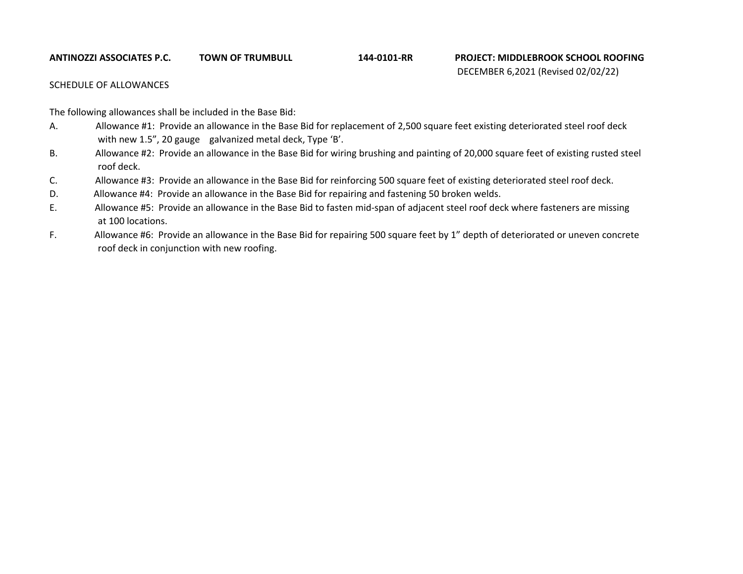#### **ANTINOZZI ASSOCIATES P.C. TOWN OF TRUMBULL PROJECT: MIDDLEBROOK SCHOOL ROOFING**

**144-0101-RR**

# DECEMBER 6,2021 (Revised 02/02/22)

## SCHEDULE OF ALLOWANCES

The following allowances shall be included in the Base Bid:

- A. Allowance #1: Provide an allowance in the Base Bid for replacement of 2,500 square feet existing deteriorated steel roof deck with new 1.5", 20 gauge galvanized metal deck, Type 'B'.
- B. Allowance #2: Provide an allowance in the Base Bid for wiring brushing and painting of 20,000 square feet of existing rusted steel roof deck.
- C. Allowance #3: Provide an allowance in the Base Bid for reinforcing 500 square feet of existing deteriorated steel roof deck.
- D. Allowance #4: Provide an allowance in the Base Bid for repairing and fastening 50 broken welds.
- E. Allowance #5: Provide an allowance in the Base Bid to fasten mid-span of adjacent steel roof deck where fasteners are missing at 100 locations.
- F. Allowance #6: Provide an allowance in the Base Bid for repairing 500 square feet by 1" depth of deteriorated or uneven concrete roof deck in conjunction with new roofing.